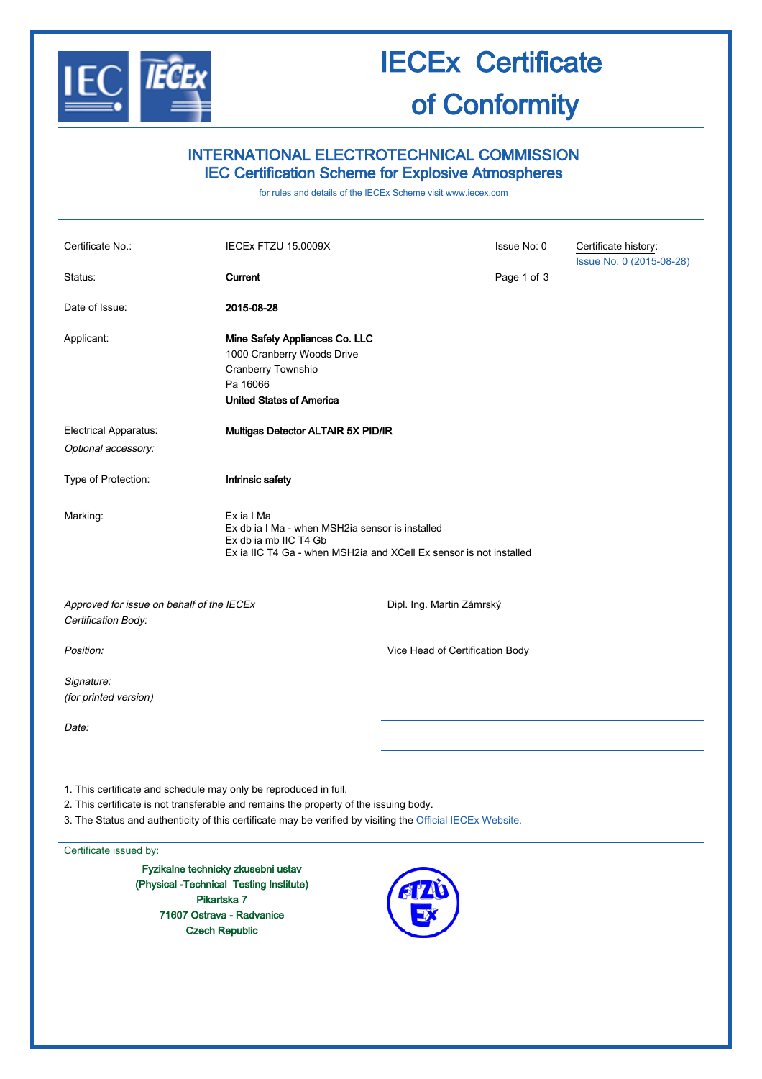

# IECEx Certificate

### of Conformity

| <b>INTERNATIONAL ELECTROTECHNICAL COMMISSION</b><br><b>IEC Certification Scheme for Explosive Atmospheres</b><br>for rules and details of the IECEx Scheme visit www.iecex.com |                                                                                                                                                                                                     |                                 |             |                                                  |  |  |
|--------------------------------------------------------------------------------------------------------------------------------------------------------------------------------|-----------------------------------------------------------------------------------------------------------------------------------------------------------------------------------------------------|---------------------------------|-------------|--------------------------------------------------|--|--|
|                                                                                                                                                                                |                                                                                                                                                                                                     |                                 |             |                                                  |  |  |
| Certificate No.:                                                                                                                                                               | IECEx FTZU 15.0009X                                                                                                                                                                                 |                                 | Issue No: 0 | Certificate history:<br>Issue No. 0 (2015-08-28) |  |  |
| Status:                                                                                                                                                                        | Current                                                                                                                                                                                             |                                 | Page 1 of 3 |                                                  |  |  |
| Date of Issue:                                                                                                                                                                 | 2015-08-28                                                                                                                                                                                          |                                 |             |                                                  |  |  |
| Applicant:                                                                                                                                                                     | Mine Safety Appliances Co. LLC<br>1000 Cranberry Woods Drive<br>Cranberry Townshio<br>Pa 16066<br><b>United States of America</b>                                                                   |                                 |             |                                                  |  |  |
| <b>Electrical Apparatus:</b>                                                                                                                                                   | Multigas Detector ALTAIR 5X PID/IR                                                                                                                                                                  |                                 |             |                                                  |  |  |
| Optional accessory:                                                                                                                                                            |                                                                                                                                                                                                     |                                 |             |                                                  |  |  |
| Type of Protection:                                                                                                                                                            | Intrinsic safety                                                                                                                                                                                    |                                 |             |                                                  |  |  |
| Marking:                                                                                                                                                                       | Ex ia I Ma<br>Ex db ia I Ma - when MSH2ia sensor is installed<br>Ex db ia mb IIC T4 Gb<br>Ex ia IIC T4 Ga - when MSH2ia and XCell Ex sensor is not installed                                        |                                 |             |                                                  |  |  |
| Approved for issue on behalf of the IECEx<br>Certification Body:                                                                                                               |                                                                                                                                                                                                     | Dipl. Ing. Martin Zámrský       |             |                                                  |  |  |
| Position:                                                                                                                                                                      |                                                                                                                                                                                                     | Vice Head of Certification Body |             |                                                  |  |  |
| Signature:<br>(for printed version)                                                                                                                                            |                                                                                                                                                                                                     |                                 |             |                                                  |  |  |
| Date:                                                                                                                                                                          |                                                                                                                                                                                                     |                                 |             |                                                  |  |  |
|                                                                                                                                                                                |                                                                                                                                                                                                     |                                 |             |                                                  |  |  |
| 1. This certificate and schedule may only be reproduced in full.                                                                                                               | 2. This certificate is not transferable and remains the property of the issuing body.<br>3. The Status and authenticity of this certificate may be verified by visiting the Official IECEx Website. |                                 |             |                                                  |  |  |

Certificate issued by:

Fyzikalne technicky zkusebni ustav (Physical -Technical Testing Institute) Pikartska 7 71607 Ostrava - Radvanice Czech Republic

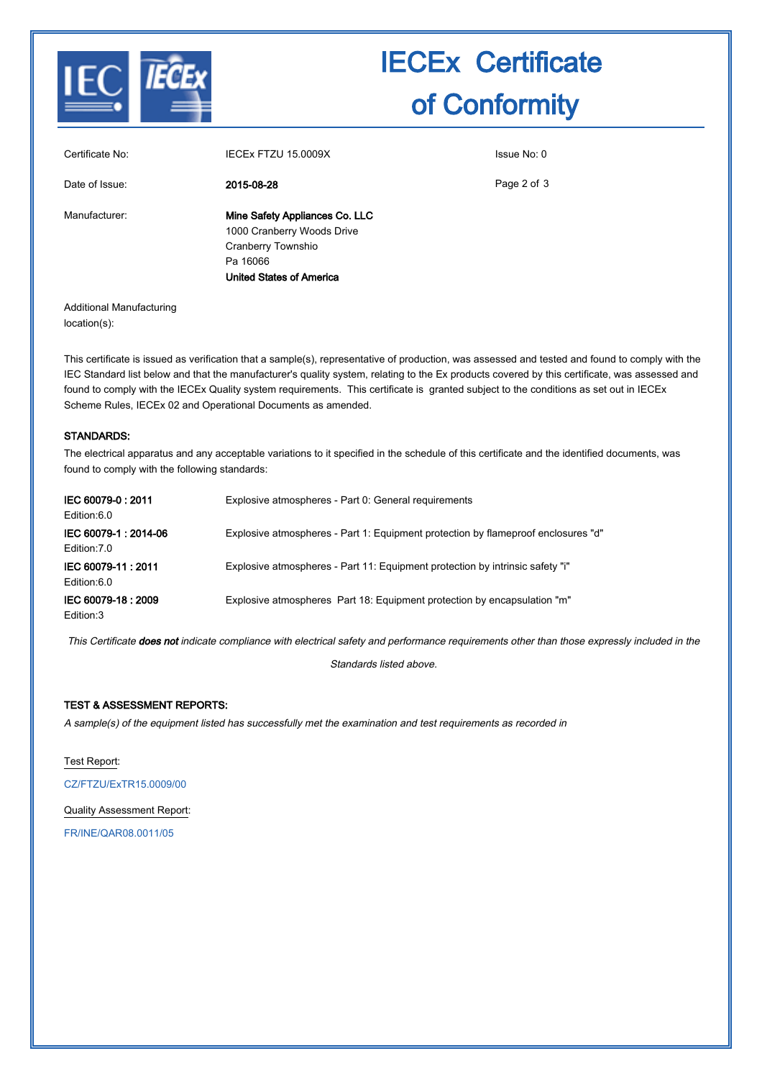

## IECEx Certificate of Conformity

| Certificate No: | IECEX FTZU 15.0009X             | Issue No: 0 |
|-----------------|---------------------------------|-------------|
| Date of Issue:  | 2015-08-28                      | Page 2 of 3 |
| Manufacturer:   | Mine Safety Appliances Co. LLC  |             |
|                 | 1000 Cranberry Woods Drive      |             |
|                 | Cranberry Townshio              |             |
|                 | Pa 16066                        |             |
|                 | <b>United States of America</b> |             |
|                 |                                 |             |

Page 2 of 3

Additional Manufacturing location(s):

This certificate is issued as verification that a sample(s), representative of production, was assessed and tested and found to comply with the IEC Standard list below and that the manufacturer's quality system, relating to the Ex products covered by this certificate, was assessed and found to comply with the IECEx Quality system requirements. This certificate is granted subject to the conditions as set out in IECEx Scheme Rules, IECEx 02 and Operational Documents as amended.

#### STANDARDS:

The electrical apparatus and any acceptable variations to it specified in the schedule of this certificate and the identified documents, was found to comply with the following standards:

| IEC 60079-0: 2011<br>Edition:6.0     | Explosive atmospheres - Part 0: General requirements                              |
|--------------------------------------|-----------------------------------------------------------------------------------|
| IEC 60079-1: 2014-06<br>Edition: 7.0 | Explosive atmospheres - Part 1: Equipment protection by flameproof enclosures "d" |
| IEC 60079-11:2011<br>Edition:6.0     | Explosive atmospheres - Part 11: Equipment protection by intrinsic safety "i"     |
| IEC 60079-18: 2009<br>Edition:3      | Explosive atmospheres Part 18: Equipment protection by encapsulation "m"          |

This Certificate does not indicate compliance with electrical safety and performance requirements other than those expressly included in the

Standards listed above.

#### TEST & ASSESSMENT REPORTS:

A sample(s) of the equipment listed has successfully met the examination and test requirements as recorded in

Test Report: [CZ/FTZU/ExTR15.0009/00](http://iecex.iec.ch/IECEx/IECExWeb.nsf/ExTRNumber/CZ/FTZU/ExTR15.0009/00?OpenDocument) Quality Assessment Report:

[FR/INE/QAR08.0011/05](http://iecex.iec.ch/IECEx/IECExWeb.nsf/QARNumber/FR/INE/QAR08.0011/05?OpenDocument)